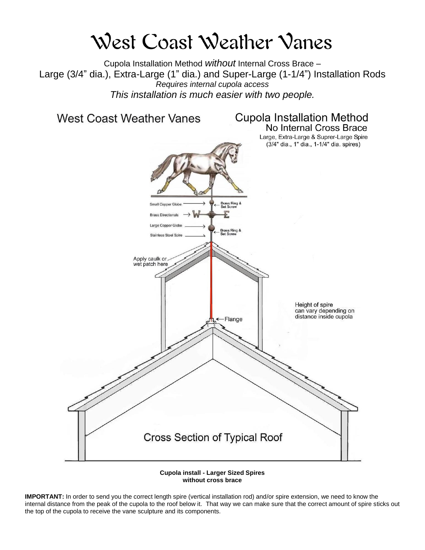## West Coast Weather Vanes

Cupola Installation Method *without* Internal Cross Brace – Large (3/4" dia.), Extra-Large (1" dia.) and Super-Large (1-1/4") Installation Rods *Requires internal cupola access This installation is much easier with two people.*





**IMPORTANT:** In order to send you the correct length spire (vertical installation rod) and/or spire extension, we need to know the internal distance from the peak of the cupola to the roof below it. That way we can make sure that the correct amount of spire sticks out the top of the cupola to receive the vane sculpture and its components.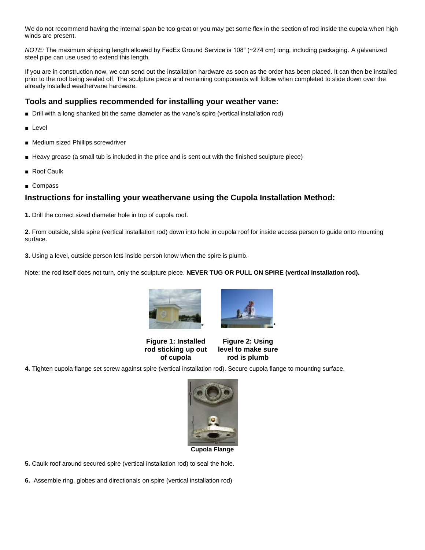We do not recommend having the internal span be too great or you may get some flex in the section of rod inside the cupola when high winds are present.

*NOTE:* The maximum shipping length allowed by FedEx Ground Service is 108" (~274 cm) long, including packaging. A galvanized steel pipe can use used to extend this length.

If you are in construction now, we can send out the installation hardware as soon as the order has been placed. It can then be installed prior to the roof being sealed off. The sculpture piece and remaining components will follow when completed to slide down over the already installed weathervane hardware.

## **Tools and supplies recommended for installing your weather vane:**

- Drill with a long shanked bit the same diameter as the vane's spire (vertical installation rod)
- Level
- Medium sized Phillips screwdriver
- Heavy grease (a small tub is included in the price and is sent out with the finished sculpture piece)
- Roof Caulk
- Compass

## **Instructions for installing your weathervane using the Cupola Installation Method:**

**1.** Drill the correct sized diameter hole in top of cupola roof.

**2**. From outside, slide spire (vertical installation rod) down into hole in cupola roof for inside access person to guide onto mounting surface.

**3.** Using a level, outside person lets inside person know when the spire is plumb.

Note: the rod itself does not turn, only the sculpture piece. **NEVER TUG OR PULL ON SPIRE (vertical installation rod).**





**Figure 1: Installed rod sticking up out of cupola**

**Figure 2: Using level to make sure rod is plumb**

**4.** Tighten cupola flange set screw against spire (vertical installation rod). Secure cupola flange to mounting surface.



**Cupola Flange**

**5.** Caulk roof around secured spire (vertical installation rod) to seal the hole.

**6.** Assemble ring, globes and directionals on spire (vertical installation rod)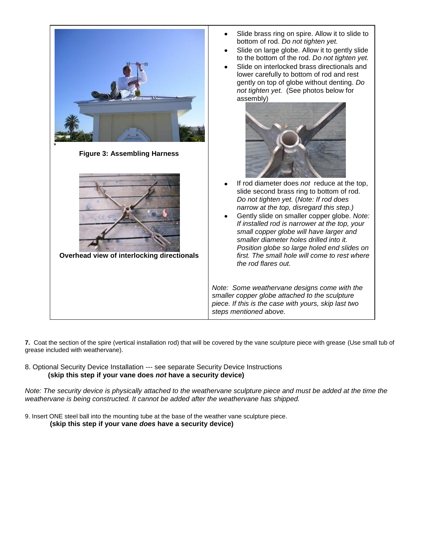

**7.** Coat the section of the spire (vertical installation rod) that will be covered by the vane sculpture piece with grease (Use small tub of grease included with weathervane).

8. Optional Security Device Installation --- see separate Security Device Instructions  **(skip this step if your vane does** *not* **have a security device)**

*Note: The security device is physically attached to the weathervane sculpture piece and must be added at the time the weathervane is being constructed. It cannot be added after the weathervane has shipped.* 

9. Insert ONE steel ball into the mounting tube at the base of the weather vane sculpture piece. **(skip this step if your vane** *does* **have a security device)**